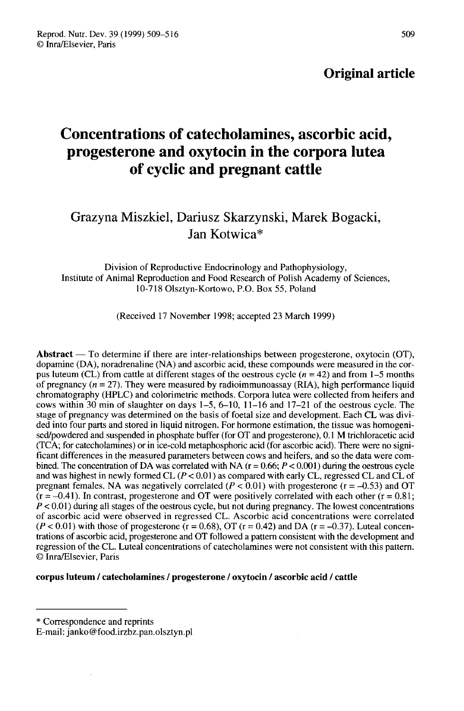# Original article

# Concentrations of catecholamines, ascorbic acid, progesterone and oxytocin in the corpora lutea of cyclic and pregnant cattle

# Grazyna Miszkiel, Dariusz Skarzynski, Marek Bogacki, Jan Kotwica

Division of Reproductive Endocrinology and Pathophysiology, Institute of Animal Reproduction and Food Research of Polish Academy of Sciences, 10-718 Olsztyn-Kortowo, P.O. Box 55, Poland

(Received 17 November 1998; accepted 23 March 1999)

Abstract - To determine if there are inter-relationships between progesterone, oxytocin (OT), dopamine (DA), noradrenaline (NA) and ascorbic acid, these compounds were measured in the corpus luteum (CL) from cattle at different stages of the oestrous cycle  $(n = 42)$  and from 1-5 months of pregnancy ( $n = 27$ ). They were measured by radioimmunoassay (RIA), high performance liquid chromatography (HPLC) and colorimetric methods. Corpora lutea were collected from heifers and cows within 30 min of slaughter on days  $1-5$ ,  $6-10$ ,  $11-16$  and  $17-21$  of the oestrous cycle. The stage of pregnancy was determined on the basis of foetal size and development. Each CL was divi-<br>ded into four parts and stored in liquid nitrogen. For hormone estimation, the tissue was homogenised/powdered and suspended in phosphate buffer (for OT and progesterone), 0.1 M trichloracetic acid (TCA; for catecholamines) or in ice-cold metaphosphoric acid (for ascorbic acid). There were no significant differences in the measured parameters between cows and heifers, and so the data were combined. The concentration of DA was correlated with NA ( $r = 0.66$ ;  $P < 0.001$ ) during the oestrous cycle and was highest in newly formed CL  $(P < 0.01)$  as compared with early CL, regressed CL and CL of pregnant females. NA was negatively correlated  $(P < 0.01)$  with progesterone  $(r = -0.53)$  and OT  $(r = -0.41)$ . In contrast, progesterone and OT were positively correlated with each other  $(r = 0.81)$ .  $P < 0.01$ ) during all stages of the oestrous cycle, but not during pregnancy. The lowest concentrations of ascorbic acid were observed in regressed CL. Ascorbic acid concentrations were correlated  $(P < 0.01)$  with those of progesterone  $(r = 0.68)$ , OT  $(r = 0.42)$  and DA  $(r = -0.37)$ . Luteal concentrations of ascorbic acid, progesterone and OT followed a pattern consistent with the development and regression of the CL. Luteal concentrations of catecholamines were not consistent with this pattern. @ Inra/Elsevier, Paris

corpus luteum / catecholamines / progesterone / oxytocin / ascorbic acid / cattle

à.

<sup>\*</sup> Correspondence and reprints

E-mail: janko@food.irzbz.pan.o1sztyn.pl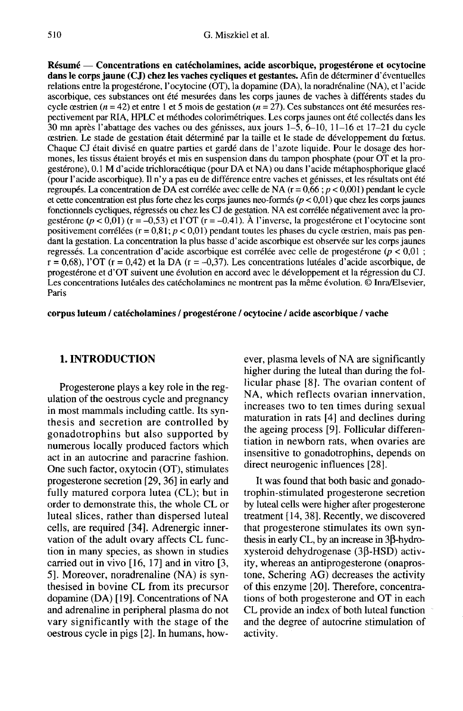Résumé ― Concentrations en catécholamines, acide ascorbique, progestérone et ocytocine dans le corps jaune (CJ) chez les vaches cycliques et gestantes. Afin de déterminer d'éventuelles relations entre la progestérone, l'ocytocine (OT), la dopamine (DA), la noradrénaline (NA), et l'acide ascorbique, ces substances ont été mesurées dans les corps jaunes de vaches à différents stades du cycle œstrien ( $n = 42$ ) et entre 1 et 5 mois de gestation ( $n = 27$ ). Ces substances ont été mesurées respectivement par RIA, HPLC et méthodes colorimétriques. Les corps jaunes ont été collectés dans les 30 mn après l'abattage des vaches ou des génisses, aux jours 1-5, 6-10, 11-16 et 17-21 du cycle oestrien. Le stade de gestation était déterminé par la taille et le stade de développement du foetus. Chaque CJ était divisé en quatre parties et gardé dans de l'azote liquide. Pour le dosage des hormones, les tissus étaient broyés et mis en suspension dans du tampon phosphate (pour OT et la progestérone), 0.1 M d'acide trichloracétique (pour DA et NA) ou dans l'acide métaphosphorique glacé (pour l'acide ascorbique). Il n'y a pas eu de différence entre vaches et génisses, et les résultats ont été regroupés. La concentration de DA est corrélée avec celle de NA ( $r = 0.66$ ;  $p < 0.001$ ) pendant le cycle et cette concentration est plus forte chez les corps jaunes neo-formés  $(p < 0.01)$  que chez les corps jaunes fonctionnels cycliques, régressés ou chez les CJ de gestation. NA est corrélée négativement avec la progestérone ( $p < 0.01$ ) (r = -0.53) et l'OT (r = -0.41). À l'inverse, la progestérone et l'ocytocine sont positivement corrélées ( $r = 0.81$ ;  $p < 0.01$ ) pendant toutes les phases du cycle œstrien, mais pas pendant la gestation. La concentration la plus basse d'acide ascorbique est observée sur les corps jaunes regressés. La concentration d'acide ascorbique est corrélée avec celle de progestérone ( $p < 0.01$ ;  $r = 0.68$ ), l'OT (r = 0,42) et la DA (r = -0,37). Les concentrations lutéales d'acide ascorbique, de progestérone et d'OT suivent une évolution en accord avec le développement et la régression du CJ. Les concentrations lutéales des catécholamines ne montrent pas la même évolution. © Inra/Elsevier, Paris

corpus luteum / catécholamines / progestérone / ocytocine / acide ascorbique / vache

## 1. INTRODUCTION

Progesterone plays a key role in the regulation of the oestrous cycle and pregnancy in most mammals including cattle. Its synthesis and secretion are controlled by gonadotrophins but also supported by numerous locally produced factors which act in an autocrine and paracrine fashion. One such factor, oxytocin (OT), stimulates progesterone secretion [29, 36] in early and fully matured corpora lutea (CL); but in order to demonstrate this, the whole CL or luteal slices, rather than dispersed luteal cells, are required [34]. Adrenergic innervation of the adult ovary affects CL function in many species, as shown in studies carried out in vivo [16, 17] and in vitro [3, 5]. Moreover, noradrenaline (NA) is synthesised in bovine CL from its precursor dopamine (DA) [19]. Concentrations of NA and adrenaline in peripheral plasma do not vary significantly with the stage of the oestrous cycle in pigs [2]. In humans, however, plasma levels of NA are significantly higher during the luteal than during the follicular phase [8]. The ovarian content of NA, which reflects ovarian innervation, increases two to ten times during sexual maturation in rats [4] and declines during the ageing process [9]. Follicular differentiation in newborn rats, when ovaries are insensitive to gonadotrophins, depends on direct neurogenic influences [28].

It was found that both basic and gonadotrophin-stimulated progesterone secretion treatment [14, 38]. Recently, we discovered that progesterone stimulates its own synthesis in early CL, by an increase in  $3\beta$ -hydroxysteroid dehydrogenase (3Ø-HSD) activity, whereas an antiprogesterone (onaprostone, Schering AG) decreases the activity of this enzyme [20]. Therefore, concentrations of both progesterone and OT in each CL provide an index of both luteal function and the degree of autocrine stimulation of activity.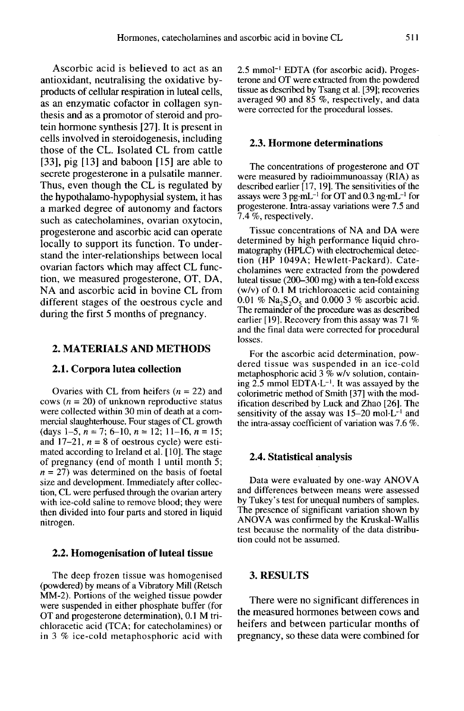Ascorbic acid is believed to act as an antioxidant, neutralising the oxidative byproducts of cellular respiration in luteal cells, as an enzymatic cofactor in collagen synthesis and as a promotor of steroid and protein hormone synthesis [27]. It is present in cells involved in steroidogenesis, including those of the CL. Isolated CL from cattle [33], pig [13] and baboon [15] are able to secrete progesterone in a pulsatile manner. Thus, even though the CL is regulated by the hypothalamo-hypophysial system, it has a marked degree of autonomy and factors such as catecholamines, ovarian oxytocin, progesterone and ascorbic acid can operate locally to support its function. To understand the inter-relationships between local ovarian factors which may affect CL function, we measured progesterone, OT, DA, NA and ascorbic acid in bovine CL from different stages of the oestrous cycle and during the first 5 months of pregnancy.

# 2. MATERIALS AND METHODS

#### 2.1. Corpora lutea collection

Ovaries with CL from heifers  $(n = 22)$  and cows ( $n = 20$ ) of unknown reproductive status were collected within 30 min of death at a commercial slaughterhouse. Four stages of CL growth (days 1-5,  $n = 7$ ; 6-10,  $n = 12$ ; 11-16,  $n = 15$ ; and 17-21,  $n = 8$  of oestrous cycle) were estimated according to Ireland et al. [10]. The stage of pregnancy (end of month 1 until month 5;  $n = 27$ ) was determined on the basis of foetal size and development. Immediately after collection, CL were perfused through the ovarian artery with ice-cold saline to remove blood; they were then divided into four parts and stored in liquid nitrogen.

#### 2.2. Homogenisation of luteal tissue

The deep frozen tissue was homogenised (powdered) by means of a Vibratory Mill (Retsch MM-2). Portions of the weighed tissue powder were suspended in either phosphate buffer (for OT and progesterone determination), 0.1 M trichloracetic acid (TCA; for catecholamines) or in 3 % ice-cold metaphosphoric acid with

2.5 mmol-' EDTA (for ascorbic acid). Proges- terone and OT were extracted from the powdered tissue as described by Tsang et al. [39]; recoveries averaged 90 and 85 %, respectively, and data were corrected for the procedural losses.

#### 2.3. Hormone determinations

The concentrations of progesterone and OT were measured by radioimmunoassay (RIA) as described earlier [17, 19]. The sensitivities of the assays were 3 pg·mL<sup>-1</sup> for OT and 0.3 ng·mL<sup>-1</sup> for The concentrations of progesterone and OT<br>were measured by radioimmunoassay (RIA) as<br>described earlier [17, 19]. The sensitivities of the<br>assays were 3 pg·mL<sup>-1</sup> for OT and 0.3 ng·mL<sup>-1</sup> for<br>progesterone. Intra-assay vari progesterone. Intra-assay variations were 7.5 and 7.4 %, respectively.

Tissue concentrations of NA and DA were determined by high performance liquid chromatography (HPLC) with electrochemical detection (HP 1049A; Hewlett-Packard). Catecholamines were extracted from the powdered luteal tissue (200-300 mg) with a ten-fold excess luteal tissue (200–300 mg) with a ten-fold excess<br>(w/v) of 0.1 M trichloroacetic acid containing cholamines were extracted from the powdered<br>luteal tissue (200–300 mg) with a ten-fold excess<br>(w/v) of 0.1 M trichloroacetic acid containing<br>0.01 %  $\text{Na}_2\text{S}_2\text{O}_5$  and 0.000 3 % ascorbic acid.<br>The remainder of the pr The remainder of the procedure was as described earlier [19]. Recovery from this assay was 71 % and the final data were corrected for procedural losses.

For the ascorbic acid determination, powdered tissue was suspended in an ice-cold metaphosphoric acid 3 % w/v solution, containlosses.<br>
For the ascorbic acid determination, pow-<br>
dered tissue was suspended in an ice-cold<br>
metaphosphoric acid  $3\%$  w/v solution, contain-<br>
ing 2.5 mmol EDTA-L<sup>-1</sup>. It was assayed by the<br>
colorimetric method of Smith colorimetric method of Smith [37] with the modification described by Luck and Zhao [26]. The ing  $2.5$  mmol EDTA-L<sup>-1</sup>. It was assayed by the colorimetric method of Smith [37] with the mod-<br>ification described by Luck and Zhao [26]. The<br>sensitivity of the assay was 15-20 mol-L<sup>-1</sup> and the intra-assay coefficient of variation was 7.6 %.

#### 2.4. Statistical analysis

Data were evaluated by one-way ANOVA and differences between means were assessed by Tukey's test for unequal numbers of samples. The presence of significant variation shown by ANOVA was confirmed by the Kruskal-Wallis test because the normality of the data distribution could not be assumed.

# 3. RESULTS

There were no significant differences in the measured hormones between cows and heifers and between particular months of pregnancy, so these data were combined for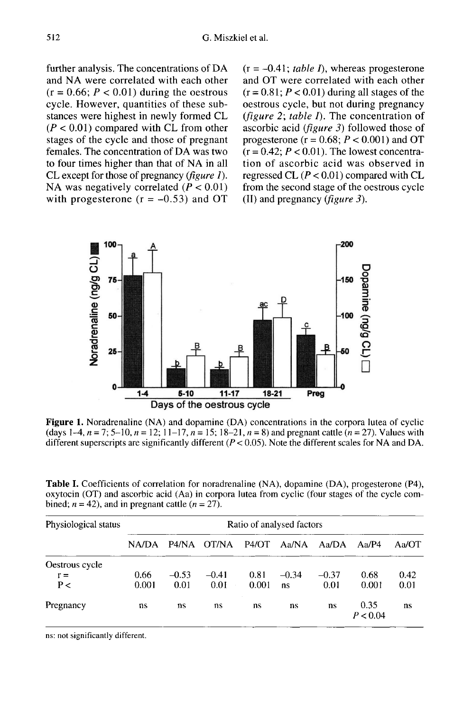further analysis. The concentrations of DA and NA were correlated with each other  $(r = 0.66; P < 0.01)$  during the oestrous cycle. However, quantities of these substances were highest in newly formed CL  $(P < 0.01)$  compared with CL from other stages of the cycle and those of pregnant females. The concentration of DA was two to four times higher than that of NA in all CL except for those of pregnancy  $(figure 1)$ . NA was negatively correlated  $(P < 0.01)$ with progesterone  $(r = -0.53)$  and OT

 $(r = -0.41; table I)$ , whereas progesterone and OT were correlated with each other  $(r = 0.81; P < 0.01)$  during all stages of the oestrous cycle, but not during pregnancy (*figure 2; table I*). The concentration of ascorbic acid (figure 3) followed those of progesterone ( $r = 0.68$ ;  $P < 0.001$ ) and OT  $(r = 0.42; P < 0.01)$ . The lowest concentration of ascorbic acid was observed in regressed CL  $(P < 0.01)$  compared with CL from the second stage of the oestrous cycle (II) and pregnancy  $(figure 3)$ .



**Figure 1.** Noradrenaline (NA) and dopamine (DA) concentrations in the corpora lutea of cyclic (days 1-4,  $n = 7$ ; 5-10,  $n = 12$ ; 11-17,  $n = 15$ ; 18-21,  $n = 8$ ) and pregnant cattle ( $n = 27$ ). Values with different superscripts are significantly different  $(P < 0.05)$ . Note the different scales for NA and DA.

**Table I.** Coefficients of correlation for noradrenaline (NA), dopamine (DA), progesterone (P4), oxytocin (OT) and ascorbic acid (Aa) in corpora lutea from cyclic (four stages of the cycle combined;  $n = 42$ ), and in pregnant cattle  $(n = 27)$ .

| Physiological status          | Ratio of analysed factors |                 |                 |               |               |                 |                  |              |
|-------------------------------|---------------------------|-----------------|-----------------|---------------|---------------|-----------------|------------------|--------------|
|                               | NA/DA                     | P4/NA           | OT/NA           | P4/OT         | Aa/NA         | Aa/DA           | Aa/P4            | Aa/OT        |
| Oestrous cycle<br>$r =$<br>P< | 0.66<br>0.001             | $-0.53$<br>0.01 | $-0.41$<br>0.01 | 0.81<br>0.001 | $-0.34$<br>ns | $-0.37$<br>0.01 | 0.68<br>0.001    | 0.42<br>0.01 |
| Pregnancy                     | ns                        | ns              | ns              | ns            | ns            | ns              | 0.35<br>P < 0.04 | ns           |

ns: not significantly different.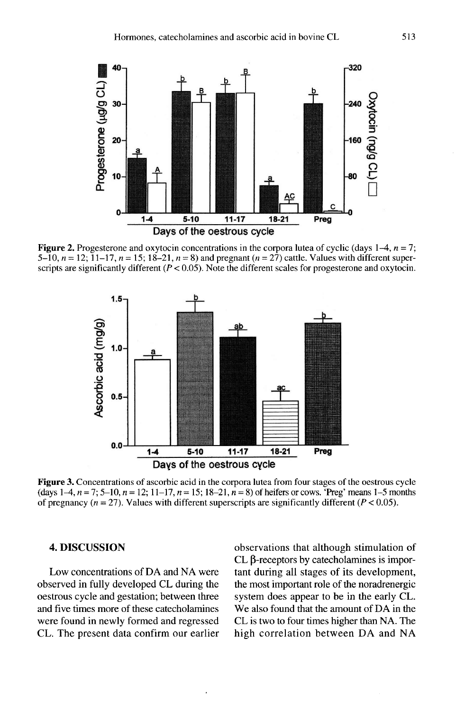

**Figure 2.** Progesterone and oxytocin concentrations in the corpora lute a of cyclic (days  $1-4$ ,  $n = 7$ ; 5-10,  $n = 12$ ;  $11-17$ ,  $n = 15$ ;  $18-21$ ,  $n = 8$ ) and pregnant ( $n = 27$ ) cattle. Values with different superscripts are significantly different  $(P < 0.05)$ . Note the different scales for progesterone and oxytocin.



Figure 3. Concentrations of ascorbic acid in the corpora lutea from four stages of the oestrous cycle (days  $1-4$ ,  $n = 7$ ;  $5-10$ ,  $n = 12$ ;  $11-17$ ,  $n = 15$ ;  $18-21$ ,  $n = 8$ ) of heifers or cows. Preg' means 1-5 months of pregnancy ( $n = 27$ ). Values with different superscripts are significantly different ( $P < 0.05$ ).

# 4. DISCUSSION

Low concentrations of DA and NA were observed in fully developed CL during the oestrous cycle and gestation; between three and five times more of these catecholamines were found in newly formed and regressed CL. The present data confirm our earlier

observations that although stimulation of  $CL$   $\beta$ -receptors by catecholamines is important during all stages of its development, the most important role of the noradrenergic system does appear to be in the early CL. We also found that the amount of DA in the CL is two to four times higher than NA. The high correlation between DA and NA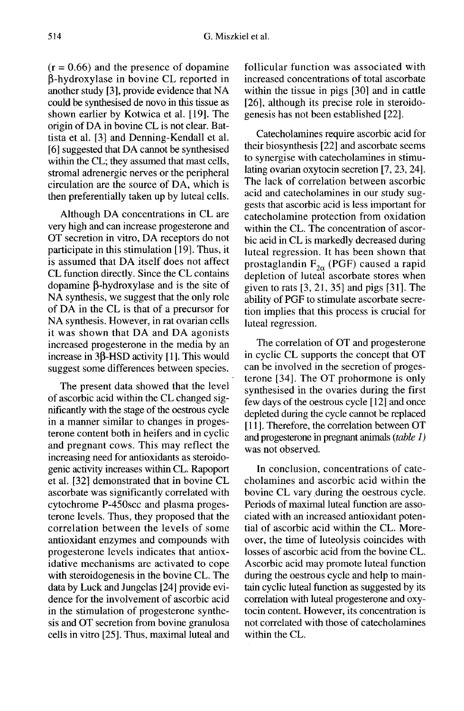$(r = 0.66)$  and the presence of dopamine (3-hydroxylase in bovine CL reported in another study [3], provide evidence that NA could be synthesised de novo in this tissue as shown earlier by Kotwica et al. [19]. The origin of DA in bovine CL is not clear. Battista et al. [3] and Denning-Kendall et al. [6] suggested that DA cannot be synthesised within the CL; they assumed that mast cells, stromal adrenergic nerves or the peripheral circulation are the source of DA, which is then preferentially taken up by luteal cells.

Although DA concentrations in CL are very high and can increase progesterone and OT secretion in vitro, DA receptors do not participate in this stimulation [19]. Thus, it is assumed that DA itself does not affect CL function directly. Since the CL contains dopamine  $\beta$ -hydroxylase and is the site of NA synthesis, we suggest that the only role of DA in the CL is that of a precursor for NA synthesis. However, in rat ovarian cells it was shown that DA and DA agonists increased progesterone in the media by an increase in 36-HSD activity [1]. This would suggest some differences between species.

The present data showed that the level of ascorbic acid within the CL changed significantly with the stage of the oestrous cycle in a manner similar to changes in progesterone content both in heifers and in cyclic and pregnant cows. This may reflect the increasing need for antioxidants as steroido-<br>genic activity increases within CL. Rapoport et al. [32] demonstrated that in bovine CL ascorbate was significantly correlated with cytochrome P-450scc and plasma progesterone levels. Thus, they proposed that the correlation between the levels of some antioxidant enzymes and compounds with progesterone levels indicates that antioxidative mechanisms are activated to cope with steroidogenesis in the bovine CL. The data by Luck and Jungclas [24] provide evidence for the involvement of ascorbic acid in the stimulation of progesterone synthesis and OT secretion from bovine granulosa cells in vitro [25]. Thus, maximal luteal and follicular function was associated with increased concentrations of total ascorbate within the tissue in pigs [30] and in cattle [26], although its precise role in steroidogenesis has not been established [22].

Catecholamines require ascorbic acid for their biosynthesis [22] and ascorbate seems to synergise with catecholamines in stimulating ovarian oxytocin secretion [7, 23, 24]. The lack of correlation between ascorbic acid and catecholamines in our study suggests that ascorbic acid is less important for catecholamine protection from oxidation within the CL. The concentration of ascorbic acid in CL is markedly decreased during luteal regression. It has been shown that futear regression. It has been shown that<br>prostaglandin  $F_{2\alpha}$  (PGF) caused a rapid<br>depletion of luteal ascorbate stores when given to rats  $[3, 21, 35]$  and pigs  $[31]$ . The ability of PGF to stimulate ascorbate secretion implies that this process is crucial for luteal regression.

The correlation of OT and progesterone in cyclic CL supports the concept that OT can be involved in the secretion of progesterone [34]. The OT prohormone is only synthesised in the ovaries during the first few days of the oestrous cycle [12] and once depleted during the cycle cannot be replaced [11]. Therefore, the correlation between OT and progesterone in pregnant animals (table 1) was not observed.

In conclusion, concentrations of catecholamines and ascorbic acid within the bovine CL vary during the oestrous cycle. Periods of maximal luteal function are associated with an increased antioxidant potential of ascorbic acid within the CL. Moreover, the time of luteolysis coincides with losses of ascorbic acid from the bovine CL. Ascorbic acid may promote luteal function during the oestrous cycle and help to maintain cyclic luteal function as suggested by its correlation with luteal progesterone and oxytocin content. However, its concentration is not correlated with those of catecholamines within the CL.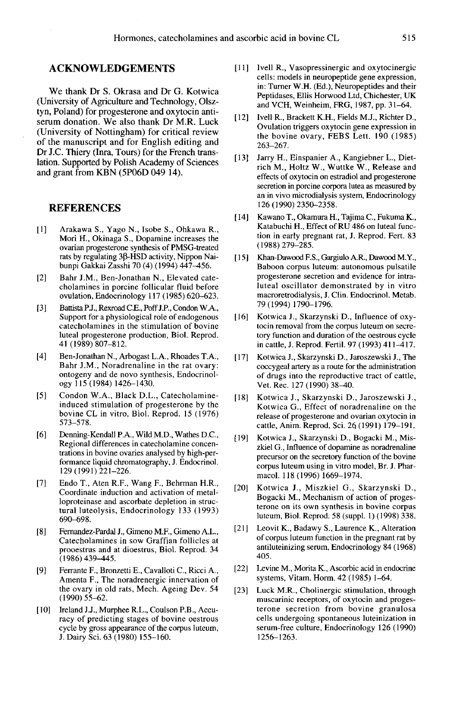#### ACKNOWLEDGEMENTS

We thank Dr S. Okrasa and Dr G. Kotwica (University of Agriculture and Technology, Olsztyn, Poland) for progesterone and oxytocin antiserum donation. We also thank Dr M.R. Luck (University of Nottingham) for critical review of the manuscript and for English editing and Dr J.C. Thiery (Inra, Tours) for the French translation. Supported by Polish Academy of Sciences and grant from KBN (5P06D 049 14).

#### REFERENCES

- [1] Arakawa S., Yago N., Isobe S., Ohkawa R., Mori H., Okinaga S., Dopamine increases the ovarian progesterone synthesis of PMSG-treated rats by regulating 3P-HSD activity, Nippon Naibunpi Gakkai Zasshi 70 (4) (1994) 447-456.
- [2] Bahr J.M., Ben-Jonathan N., Elevated catecholamines in porcine follicular fluid before ovulation, Endocrinology 117 ( 1985) 620-623.
- [3] Battista P.J., Rexroad C.E., Poff J.P., Condon W.A., Support for a physiological role of endogenous catecholamines in the stimulation of bovine luteal progesterone production, Biol. Reprod. 41 (1989) 807-812.
- [4] Ben-Jonathan N., Arbogast L.A., Rhoades T.A., Bahr J.M., Noradrenaline in the rat ovary: ontogeny and de novo synthesis, Endocrinology 115 (1984) 1426-1430.
- [5] Condon W.A., Black D.L., Catecholamineinduced stimulation of progesterone by the bovine CL in vitro, Biol. Reprod. 15 (1976) 573-578.
- [6] Denning-Kendall P.A., Wild M.D., Wathes D.C., Regional differences in catecholamine concentrations in bovine ovaries analysed by high-per formance liquid chromatography, J. Endocrinol. 129 ( 1991 ) 221-226.
- [7] Endo T., Aten R.F., Wang F., Behrman H.R., Coordinate induction and activation of metalloproteinase and ascorbate depletion in structural luteolysis, Endocrinology 133 (1993) 690-698.
- [8] Femandez-Pardal J., Gimeno M.F., Gimeno A.L., Catecholamines in sow Graffian follicles at prooestrus and at dioestrus, Biol. Reprod. 34 (1986) 439-445.
- [9] Ferrante F., Bronzetti E., Cavalloti C., Ricci A., Amenta F., The noradrenergic innervation of the ovary in old rats, Mech. Ageing Dev. 54  $(1990)55-62.$
- [10] Ireland J.J., Murphee R.L., Coulson P.B., Accuracy of predicting stages of bovine oestrous cycle by gross appearance of the corpus luteum, J. Dairy Sci. 63 (1980) 155-160.
- [11] Ivell R., Vasopressinergic and oxytocinergic cells: models in neuropeptide gene expression, in: Turner W.H. (Ed.), Neuropeptides and their Peptidases, Ellis Horwood Ltd, Chichester, UK and VCH, Weinheim, FRG, 1987, pp. 31-64.
- [12] Ivell R., Brackett K.H., Fields M.J., Richter D., Ovulation triggers oxytocin gene expression in the bovine ovary, FEBS Lett. 190 (1985) 263-267.
- [13] Jarry H., Einspanier A., Kangiebner L., Dietrich M., Holtz W., Wuttke W., Release and effects of oxytocin on estradiol and progesterone secretion in porcine corpora lutea as measured by an in vivo microdialysis system, Endocrinology 126 (1990) 2350-2358.
- [14] Kawano T., Okamura H., Tajima C., Fukuma K., Katabuchi H., Effect of RU 486 on luteal function in early pregnant rat, J. Reprod. Fert. 83 ( 1988) 279-285.
- [15] Khan-Dawood F.S., Gargiulo A.R., Dawood M.Y., Baboon corpus luteum: autonomous pulsatile progesterone secretion and evidence for intraluteal oscillator demonstrated by in vitro macroretrodialysis, J. Clin. Endocrinol. Metab. 79 (1994) 1790-1796.
- [16] Kotwica J., Skarzynski D., Influence of oxytocin removal from the corpus luteum on secretory function and duration of the oestrous cycle in cattle, J. Reprod. Fertil. 97 (1993) 411-417.
- [17] Kotwica J., Skarzynski D., Jaroszewski J., The coccygeal artery as a route for the administration of drugs into the reproductive tract of cattle, Vet. Rec. 127 (1990) 38-40.
- [18] Kotwica J., Skarzynski D., Jaroszewski J., Kotwica G., Effect of noradrenaline on the release of progesterone and ovarian oxytocin in cattle, Anim. Reprod. Sci. 26 (1991) 179-191.
- [19] Kotwica J., Skarzynski D., Bogacki M., Miszkiel G., Influence of dopamine as noradrenaline precursor on the secretory function of the bovine corpus luteum using in vitro model, Br. J. Pharmacol. 118 (1996) 1669-1974.
- [20] Kotwica J., Miszkiel G., Skarzynski D., terone on its own synthesis in bovine corpus luteum, Biol. Reprod. 58 (suppl. 1) (1998) 338.
- [21] Leovit K., Badawy S., Laurence K., Alteration of corpus luteum function in the pregnant rat by antiluteinizing serum, Endocrinology 84 (1968) 405.
- [22] Levine M., Morita K., Ascorbic acid in endocrine systems, Vitam. Horm. 42 (1985) 1-64.
- [23] Luck M.R., Cholinergic stimulation, through muscarinic receptors, of oxytocin and progesterone secretion from bovine granulosa cells undergoing spontaneous luteinization in serum-free culture, Endocrinology 126 (1990) 1256-1263.